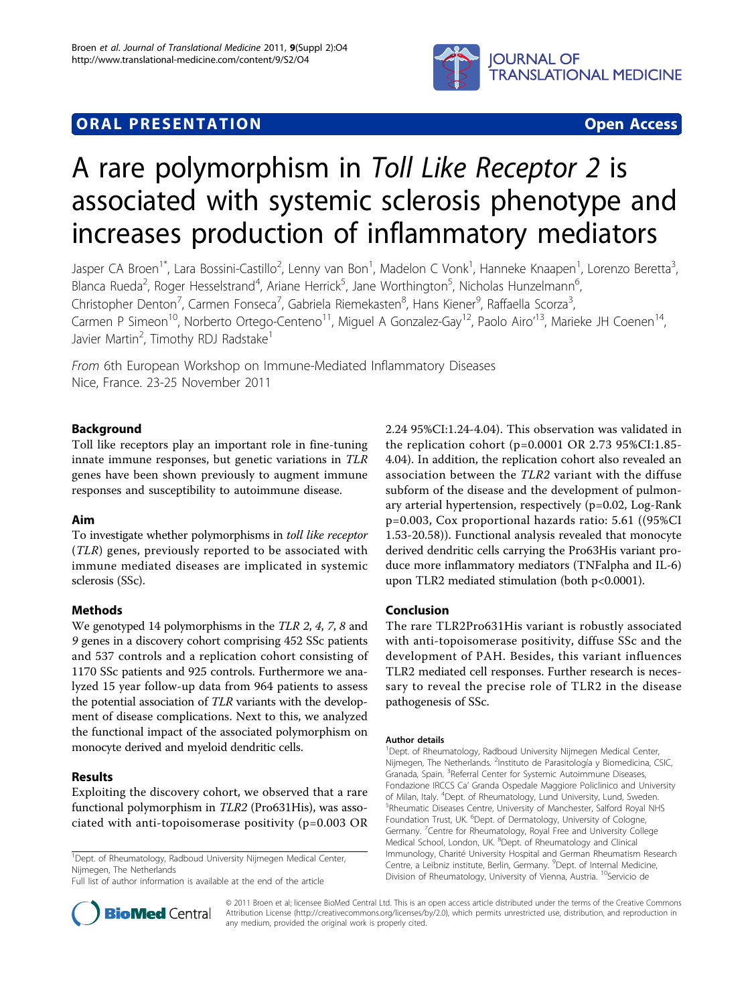

# **ORAL PRESENTATION CONSUMING ACCESS**



# A rare polymorphism in Toll Like Receptor 2 is associated with systemic sclerosis phenotype and increases production of inflammatory mediators

Jasper CA Broen<sup>1\*</sup>, Lara Bossini-Castillo<sup>2</sup>, Lenny van Bon<sup>1</sup>, Madelon C Vonk<sup>1</sup>, Hanneke Knaapen<sup>1</sup>, Lorenzo Beretta<sup>3</sup> , Blanca Rueda<sup>2</sup>, Roger Hesselstrand<sup>4</sup>, Ariane Herrick<sup>5</sup>, Jane Worthington<sup>5</sup>, Nicholas Hunzelmann<sup>6</sup> , Christopher Denton<sup>7</sup>, Carmen Fonseca<sup>7</sup>, Gabriela Riemekasten<sup>8</sup>, Hans Kiener<sup>9</sup>, Raffaella Scorza<sup>3</sup> , Carmen P Simeon<sup>10</sup>, Norberto Ortego-Centeno<sup>11</sup>, Miguel A Gonzalez-Gay<sup>12</sup>, Paolo Airo'<sup>13</sup>, Marieke JH Coenen<sup>14</sup>, Javier Martin<sup>2</sup>, Timothy RDJ Radstake<sup>1</sup>

From 6th European Workshop on Immune-Mediated Inflammatory Diseases Nice, France. 23-25 November 2011

# Background

Toll like receptors play an important role in fine-tuning innate immune responses, but genetic variations in TLR genes have been shown previously to augment immune responses and susceptibility to autoimmune disease.

# Aim

To investigate whether polymorphisms in toll like receptor (TLR) genes, previously reported to be associated with immune mediated diseases are implicated in systemic sclerosis (SSc).

# Methods

We genotyped 14 polymorphisms in the TLR 2, 4, 7, 8 and 9 genes in a discovery cohort comprising 452 SSc patients and 537 controls and a replication cohort consisting of 1170 SSc patients and 925 controls. Furthermore we analyzed 15 year follow-up data from 964 patients to assess the potential association of TLR variants with the development of disease complications. Next to this, we analyzed the functional impact of the associated polymorphism on monocyte derived and myeloid dendritic cells.

# Results

Exploiting the discovery cohort, we observed that a rare functional polymorphism in TLR2 (Pro631His), was associated with anti-topoisomerase positivity (p=0.003 OR

<sup>1</sup>Dept. of Rheumatology, Radboud University Nijmegen Medical Center, Nijmegen, The Netherlands

Full list of author information is available at the end of the article



#### Conclusion

The rare TLR2Pro631His variant is robustly associated with anti-topoisomerase positivity, diffuse SSc and the development of PAH. Besides, this variant influences TLR2 mediated cell responses. Further research is necessary to reveal the precise role of TLR2 in the disease pathogenesis of SSc.

#### Author details

<sup>1</sup> Dept. of Rheumatology, Radboud University Nijmegen Medical Center, Nijmegen, The Netherlands. <sup>2</sup>Instituto de Parasitología y Biomedicina, CSIC, Granada, Spain. <sup>3</sup>Referral Center for Systemic Autoimmune Diseases, Fondazione IRCCS Ca' Granda Ospedale Maggiore Policlinico and University of Milan, Italy. <sup>4</sup>Dept. of Rheumatology, Lund University, Lund, Sweden.<br><sup>5</sup>Phoumatic Diseases Contro University of Manchester, Salford Poyal NH <sup>5</sup>Rheumatic Diseases Centre, University of Manchester, Salford Royal NHS Foundation Trust, UK. <sup>6</sup>Dept. of Dermatology, University of Cologne, Germany. <sup>7</sup>Centre for Rheumatology, Royal Free and University College Medical School, London, UK. <sup>8</sup>Dept. of Rheumatology and Clinical Immunology, Charité University Hospital and German Rheumatism Research Centre, a Leibniz institute, Berlin, Germany. <sup>9</sup>Dept. of Internal Medicine, Division of Rheumatology, University of Vienna, Austria. <sup>10</sup>Servicio de



© 2011 Broen et al; licensee BioMed Central Ltd. This is an open access article distributed under the terms of the Creative Commons Attribution License [\(http://creativecommons.org/licenses/by/2.0](http://creativecommons.org/licenses/by/2.0)), which permits unrestricted use, distribution, and reproduction in any medium, provided the original work is properly cited.